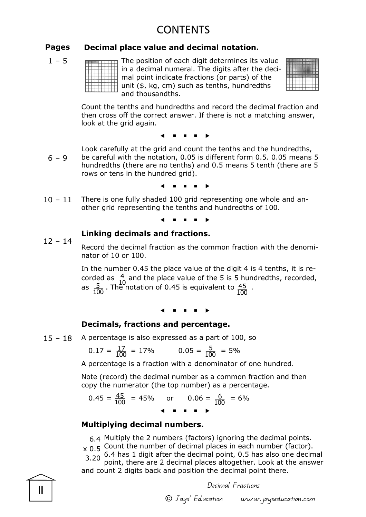# CONTENTS

#### Pages Decimal place value and decimal notation.

 $1 - 5$ 

The position of each digit determines its value in a decimal numeral. The digits after the decimal point indicate fractions (or parts) of the unit (\$, kg, cm) such as tenths, hundredths and thousandths.



Count the tenths and hundredths and record the decimal fraction and then cross off the correct answer. If there is not a matching answer, look at the grid again.

 $\leftarrow$   $\leftarrow$   $\leftarrow$   $\leftarrow$   $\leftarrow$   $\leftarrow$   $\leftarrow$   $\leftarrow$   $\leftarrow$   $\leftarrow$   $\leftarrow$   $\leftarrow$   $\leftarrow$   $\leftarrow$   $\leftarrow$   $\leftarrow$   $\leftarrow$   $\leftarrow$   $\leftarrow$   $\leftarrow$   $\leftarrow$   $\leftarrow$   $\leftarrow$   $\leftarrow$   $\leftarrow$   $\leftarrow$   $\leftarrow$   $\leftarrow$   $\leftarrow$   $\leftarrow$   $\leftarrow$   $\leftarrow$   $\leftarrow$   $\leftarrow$   $\leftarrow$   $\leftarrow$   $\leftarrow$ 

 $6 - 9$ Look carefully at the grid and count the tenths and the hundredths, be careful with the notation, 0.05 is different form 0.5. 0.05 means 5 hundredths (there are no tenths) and 0.5 means 5 tenth (there are 5 rows or tens in the hundred grid).

 $\leftarrow$   $\leftarrow$   $\leftarrow$   $\leftarrow$   $\leftarrow$   $\leftarrow$   $\leftarrow$   $\leftarrow$   $\leftarrow$   $\leftarrow$   $\leftarrow$   $\leftarrow$   $\leftarrow$   $\leftarrow$   $\leftarrow$   $\leftarrow$   $\leftarrow$   $\leftarrow$   $\leftarrow$   $\leftarrow$   $\leftarrow$   $\leftarrow$   $\leftarrow$   $\leftarrow$   $\leftarrow$   $\leftarrow$   $\leftarrow$   $\leftarrow$   $\leftarrow$   $\leftarrow$   $\leftarrow$   $\leftarrow$   $\leftarrow$   $\leftarrow$   $\leftarrow$   $\leftarrow$   $\leftarrow$ 

 $10 - 11$ There is one fully shaded 100 grid representing one whole and another grid representing the tenths and hundredths of 100.

 $\leftarrow$   $\leftarrow$   $\leftarrow$   $\leftarrow$   $\leftarrow$   $\leftarrow$   $\leftarrow$   $\leftarrow$   $\leftarrow$   $\leftarrow$   $\leftarrow$   $\leftarrow$   $\leftarrow$   $\leftarrow$   $\leftarrow$   $\leftarrow$   $\leftarrow$   $\leftarrow$   $\leftarrow$   $\leftarrow$   $\leftarrow$   $\leftarrow$   $\leftarrow$   $\leftarrow$   $\leftarrow$   $\leftarrow$   $\leftarrow$   $\leftarrow$   $\leftarrow$   $\leftarrow$   $\leftarrow$   $\leftarrow$   $\leftarrow$   $\leftarrow$   $\leftarrow$   $\leftarrow$   $\leftarrow$ 

#### Linking decimals and fractions.

 $12 - 14$ Record the decimal fraction as the common fraction with the denominator of 10 or 100.

> In the number 0.45 the place value of the digit 4 is 4 tenths, it is recorded as  $\frac{4}{10}$  and the place value of the 5 is 5 hundredths, recorded, as  $\frac{5}{100}$ . The notation of 0.45 is equivalent to  $\frac{45}{100}$ .  $\overline{4}$  $\frac{52}{5}$  The r 100 <u>45 </u> 100

 $\leftarrow$   $\leftarrow$   $\leftarrow$   $\leftarrow$   $\leftarrow$   $\leftarrow$   $\leftarrow$   $\leftarrow$   $\leftarrow$   $\leftarrow$   $\leftarrow$   $\leftarrow$   $\leftarrow$   $\leftarrow$   $\leftarrow$   $\leftarrow$   $\leftarrow$   $\leftarrow$   $\leftarrow$   $\leftarrow$   $\leftarrow$   $\leftarrow$   $\leftarrow$   $\leftarrow$   $\leftarrow$   $\leftarrow$   $\leftarrow$   $\leftarrow$   $\leftarrow$   $\leftarrow$   $\leftarrow$   $\leftarrow$   $\leftarrow$   $\leftarrow$   $\leftarrow$   $\leftarrow$   $\leftarrow$ 

#### Decimals, fractions and percentage.

15 – 18 A percentage is also expressed as a part of 100, so

$$
0.17 = \frac{17}{100} = 17\% \qquad 0.05 = \frac{5}{100} = 5\%
$$

A percentage is a fraction with a denominator of one hundred.

Note (record) the decimal number as a common fraction and then copy the numerator (the top number) as a percentage.

$$
0.45 = \frac{45}{100} = 45\%
$$
 or  $0.06 = \frac{6}{100} = 6\%$ 

#### Multiplying decimal numbers.

6.4 Multiply the 2 numbers (factors) ignoring the decimal points.

 $\times$  0.5 Count the number of decimal places in each number (factor).

6.4 has 1 digit after the decimal point, 0.5 has also one decimal point, there are 2 decimal places altogether. Look at the answer and count 2 digits back and position the decimal point there. 3.20

II Decimal Fractions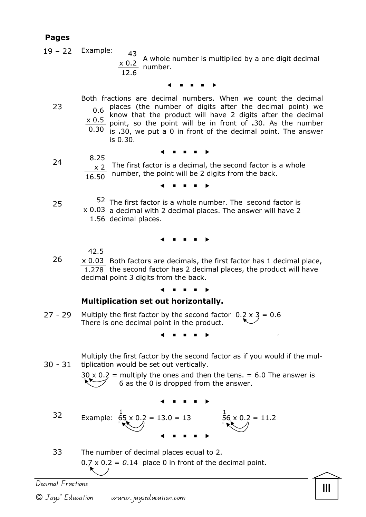### Pages

23

- $19 22$ Example:
	- A whole number is multiplied by a one digit decimal  $\times$  0.2 number. 43 12.6

#### $\leftarrow$   $\leftarrow$   $\leftarrow$   $\leftarrow$   $\leftarrow$   $\leftarrow$   $\leftarrow$   $\leftarrow$   $\leftarrow$   $\leftarrow$   $\leftarrow$   $\leftarrow$   $\leftarrow$   $\leftarrow$   $\leftarrow$   $\leftarrow$   $\leftarrow$   $\leftarrow$   $\leftarrow$   $\leftarrow$   $\leftarrow$   $\leftarrow$   $\leftarrow$   $\leftarrow$   $\leftarrow$   $\leftarrow$   $\leftarrow$   $\leftarrow$   $\leftarrow$   $\leftarrow$   $\leftarrow$   $\leftarrow$   $\leftarrow$   $\leftarrow$   $\leftarrow$   $\leftarrow$   $\leftarrow$

- Both fractions are decimal numbers. When we count the decimal 0.6 places (the number of digits after the decimal point) we<br>0.6 know that the product will have 2 digits after the decimal know that the product will have 2 digits after the decimal  $\times$  0.5 point, so the point will be in front of .30. As the number  $0.30$  is .30, we put a 0 in front of the decimal point. The answer is 0.30.
- $\overline{a}$  and  $\overline{a}$  and  $\overline{a}$  and  $\overline{a}$  and  $\overline{a}$  and  $\overline{a}$  and  $\overline{a}$  and  $\overline{a}$  and  $\overline{a}$  and  $\overline{a}$  and  $\overline{a}$  and  $\overline{a}$  and  $\overline{a}$  and  $\overline{a}$  and  $\overline{a}$  and  $\overline{a}$  and  $\overline{a}$  and
- The first factor is a decimal, the second factor is a whole number, the point will be 2 digits from the back. 8.25 x 2 16.50

. . .

25

24

52 The first factor is a whole number. The second factor is  $\times$  0.03 a decimal with 2 decimal places. The answer will have 2 1.56 decimal places.

#### $\leftarrow$   $\leftarrow$   $\leftarrow$   $\leftarrow$   $\leftarrow$   $\leftarrow$   $\leftarrow$   $\leftarrow$   $\leftarrow$   $\leftarrow$   $\leftarrow$   $\leftarrow$   $\leftarrow$   $\leftarrow$   $\leftarrow$   $\leftarrow$   $\leftarrow$   $\leftarrow$   $\leftarrow$   $\leftarrow$   $\leftarrow$   $\leftarrow$   $\leftarrow$   $\leftarrow$   $\leftarrow$   $\leftarrow$   $\leftarrow$   $\leftarrow$   $\leftarrow$   $\leftarrow$   $\leftarrow$   $\leftarrow$   $\leftarrow$   $\leftarrow$   $\leftarrow$   $\leftarrow$   $\leftarrow$

42.5

26 x 0.03 Both factors are decimals, the first factor has 1 decimal place, 1.278 the second factor has 2 decimal places, the product will have decimal point 3 digits from the back.

#### $\leftarrow$   $\leftarrow$   $\leftarrow$   $\leftarrow$   $\leftarrow$   $\leftarrow$   $\leftarrow$   $\leftarrow$   $\leftarrow$   $\leftarrow$   $\leftarrow$   $\leftarrow$   $\leftarrow$   $\leftarrow$   $\leftarrow$   $\leftarrow$   $\leftarrow$   $\leftarrow$   $\leftarrow$   $\leftarrow$   $\leftarrow$   $\leftarrow$   $\leftarrow$   $\leftarrow$   $\leftarrow$   $\leftarrow$   $\leftarrow$   $\leftarrow$   $\leftarrow$   $\leftarrow$   $\leftarrow$   $\leftarrow$   $\leftarrow$   $\leftarrow$   $\leftarrow$   $\leftarrow$   $\leftarrow$

#### Multiplication set out horizontally.

27 - 29 Multiply the first factor by the second factor  $0.2 \times 3 = 0.6$ There is one decimal point in the product.

 $\leftarrow$   $\leftarrow$   $\leftarrow$   $\leftarrow$   $\leftarrow$   $\leftarrow$   $\leftarrow$   $\leftarrow$   $\leftarrow$   $\leftarrow$   $\leftarrow$   $\leftarrow$   $\leftarrow$   $\leftarrow$   $\leftarrow$   $\leftarrow$   $\leftarrow$   $\leftarrow$   $\leftarrow$   $\leftarrow$   $\leftarrow$   $\leftarrow$   $\leftarrow$   $\leftarrow$   $\leftarrow$   $\leftarrow$   $\leftarrow$   $\leftarrow$   $\leftarrow$   $\leftarrow$   $\leftarrow$   $\leftarrow$   $\leftarrow$   $\leftarrow$   $\leftarrow$   $\leftarrow$   $\leftarrow$ 

30 - 31 Multiply the first factor by the second factor as if you would if the multiplication would be set out vertically.

> $30 \times 0.2$  = multiply the ones and then the tens. = 6.0 The answer is 6 as the 0 is dropped from the answer.

$$
32 \t\t\tExample:  $\begin{array}{r} 1 \\ 65 \times 0.2 = 13.0 = 13 \\ 1.2 \end{array}$   $\begin{array}{r} 1 \\ 56 \times 0.2 = 11.2 \\ 1.2 \end{array}$
$$

33 The number of decimal places equal to 2.  $0.7 \times 0.2 = 0.14$  place 0 in front of the decimal point.

III Decimal Fractions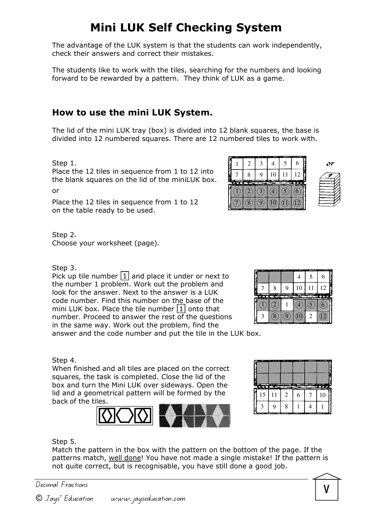# Mini LUK Self Checking System

The advantage of the LUK system is that the students can work independently, check their answers and correct their mistakes.

The students like to work with the tiles, searching for the numbers and looking forward to be rewarded by a pattern. They think of LUK as a game.

## How to use the mini LUK System.

The lid of the mini LUK tray (box) is divided into 12 blank squares, the base is divided into 12 numbered squares. There are 12 numbered tiles to work with.

Step 1.

Place the 12 tiles in sequence from 1 to 12 into the blank squares on the lid of the miniLUK box. or

Place the 12 tiles in sequence from 1 to 12 on the table ready to be used.

Step 2. Choose your worksheet (page).

#### Step 3.

Pick up tile number  $\boxed{1}$  and place it under or next to the number 1 problem. Work out the problem and look for the answer. Next to the answer is a LUK code number. Find this number on the base of the mini LUK box. Place the tile number  $|1|$  onto that number. Proceed to answer the rest of the questions in the same way. Work out the problem, find the answer and the code number and put the tile in the LUK box.

 $(4)$  5 6  $\Omega$  (9)  $\Omega$  2  $\circled{2}$  1 7 8 9 10 11 12

4 5 6

#### Step 4.

When finished and all tiles are placed on the correct squares, the task is completed. Close the lid of the box and turn the Mini LUK over sideways. Open the lid and a geometrical pattern will be formed by the back of the tiles.





#### Step 5.

Match the pattern in the box with the pattern on the bottom of the page. If the patterns match, well done! You have not made a single mistake! If the pattern is not quite correct, but is recognisable, you have still done a good job.